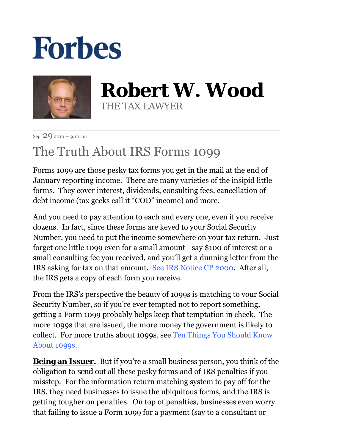## **Forbes**



**Robert W. Wood** THE TAX LAWYER

Sep. 29 2010 — 9:10 am

## The Truth About IRS Forms 1099

Forms 1099 are those pesky tax forms you get in the mail at the end of January reporting income. There are many varieties of the insipid little forms. They cover interest, dividends, consulting fees, cancellation of debt income (tax geeks call it "COD" income) and more.

And you need to pay attention to each and every one, even if you receive dozens. In fact, since these forms are keyed to your Social Security Number, you need to put the income somewhere on your tax return. Just forget one little 1099 even for a small amount—say \$100 of interest or a small consulting fee you received, and you'll get a dunning letter from the IRS asking for tax on that amount. See IRS Notice CP 2000. After all, the IRS gets a copy of each form you receive.

From the IRS's perspective the beauty of 1099s is matching to your Social Security Number, so if you're ever tempted not to report something, getting a Form 1099 probably helps keep that temptation in check. The more 1099s that are issued, the more money the government is likely to collect. For more truths about 1099s, see Ten Things You Should Know About 1099s.

**Being an Issuer.** But if you're a small business person, you think of the obligation to *send out* all these pesky forms and of IRS penalties if you misstep. For the information return matching system to pay off for the IRS, they need businesses to issue the ubiquitous forms, and the IRS is getting tougher on penalties. On top of penalties, businesses even worry that failing to issue a Form 1099 for a payment (say to a consultant or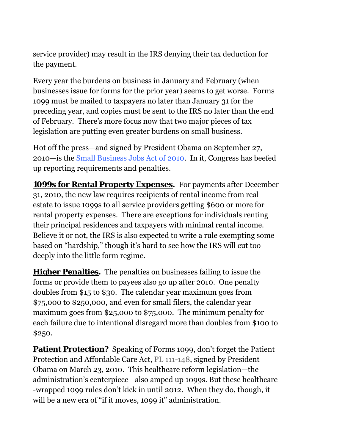service provider) may result in the IRS denying their tax deduction for the payment.

Every year the burdens on business in January and February (when businesses issue for forms for the prior year) seems to get worse. Forms 1099 must be mailed to taxpayers no later than January 31 for the preceding year, and copies must be sent to the IRS no later than the end of February. There's more focus now that two major pieces of tax legislation are putting even greater burdens on small business.

Hot off the press—and signed by President Obama on September 27, 2010—is the Small Business Jobs Act of 2010. In it, Congress has beefed up reporting requirements and penalties.

**1099s for Rental Property Expenses.** For payments after December 31, 2010, the new law requires recipients of rental income from real estate to issue 1099s to all service providers getting \$600 or more for rental property expenses. There are exceptions for individuals renting their principal residences and taxpayers with minimal rental income. Believe it or not, the IRS is also expected to write a rule exempting some based on "hardship," though it's hard to see how the IRS will cut too deeply into the little form regime.

**Higher Penalties.** The penalties on businesses failing to issue the forms or provide them to payees also go up after 2010. One penalty doubles from \$15 to \$30. The calendar year maximum goes from \$75,000 to \$250,000, and even for small filers, the calendar year maximum goes from \$25,000 to \$75,000. The minimum penalty for each failure due to intentional disregard more than doubles from \$100 to \$250.

**Patient Protection?** Speaking of Forms 1099, don't forget the Patient Protection and Affordable Care Act, PL 111-148, signed by President Obama on March 23, 2010. This healthcare reform legislation—the administration's centerpiece—also amped up 1099s. But these healthcare -wrapped 1099 rules don't kick in until 2012. When they do, though, it will be a new era of "if it moves, 1099 it" administration.